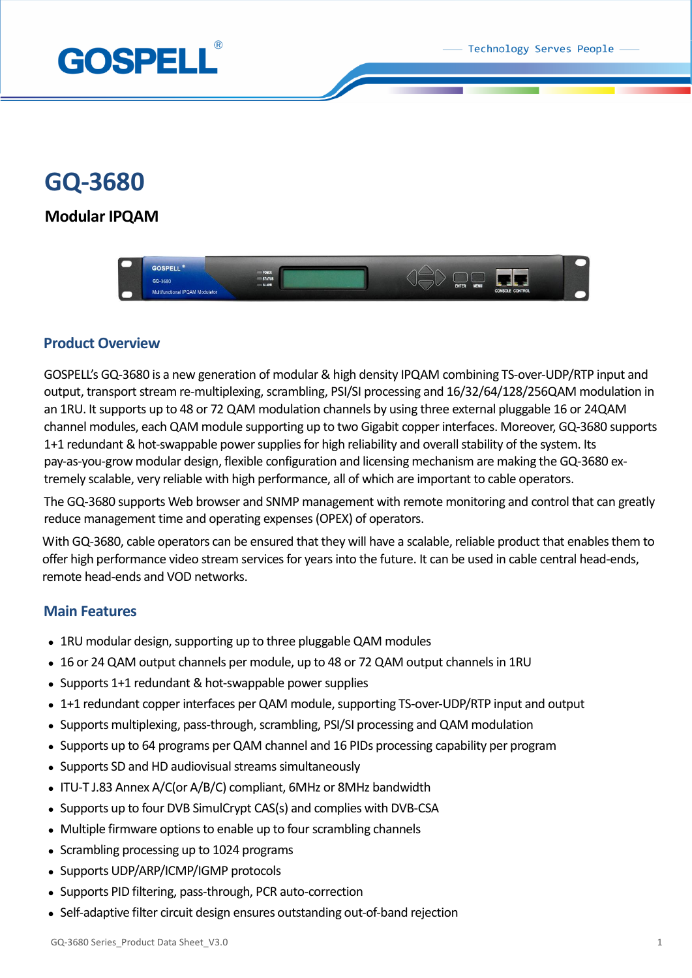Technology Serves People



# **GQ-3680**

# **Modular IPQAM**



# **Product Overview**

GOSPELL's GQ-3680 is a new generation of modular & high density IPQAM combining TS-over-UDP/RTP input and output, transport stream re-multiplexing, scrambling, PSI/SI processing and 16/32/64/128/256QAM modulation in an 1RU. It supports up to 48 or 72 QAM modulation channels by using three external pluggable 16 or 24QAM channel modules, each QAM module supporting up to two Gigabit copper interfaces. Moreover, GQ-3680 supports 1+1 redundant & hot-swappable power supplies for high reliability and overall stability of the system. Its pay-as-you-grow modular design, flexible configuration and licensing mechanism are making the GQ-3680 extremely scalable, very reliable with high performance, all of which are important to cable operators.

The GQ-3680 supports Web browser and SNMP management with remote monitoring and control that can greatly reduce management time and operating expenses(OPEX) of operators.

With GQ-3680, cable operators can be ensured that they will have a scalable, reliable product that enables them to offer high performance video stream services for years into the future. It can be used in cable central head-ends, remote head-ends and VOD networks.

# **Main Features**

- 1RU modular design, supporting up to three pluggable QAM modules
- 16 or 24 QAM output channels per module, up to 48 or 72 QAM output channels in 1RU
- Supports 1+1 redundant & hot-swappable power supplies
- 1+1 redundant copper interfaces per QAM module, supporting TS-over-UDP/RTP input and output
- Supports multiplexing, pass-through, scrambling, PSI/SI processing and QAM modulation
- Supports up to 64 programs per QAM channel and 16 PIDs processing capability per program
- Supports SD and HD audiovisual streams simultaneously
- ITU-T J.83 Annex A/C(or A/B/C) compliant, 6MHz or 8MHz bandwidth
- Supports up to four DVB SimulCrypt CAS(s) and complies with DVB-CSA
- Multiple firmware options to enable up to four scrambling channels
- Scrambling processing up to 1024 programs
- Supports UDP/ARP/ICMP/IGMP protocols
- Supports PID filtering, pass-through, PCR auto-correction
- Self-adaptive filter circuit design ensures outstanding out-of-band rejection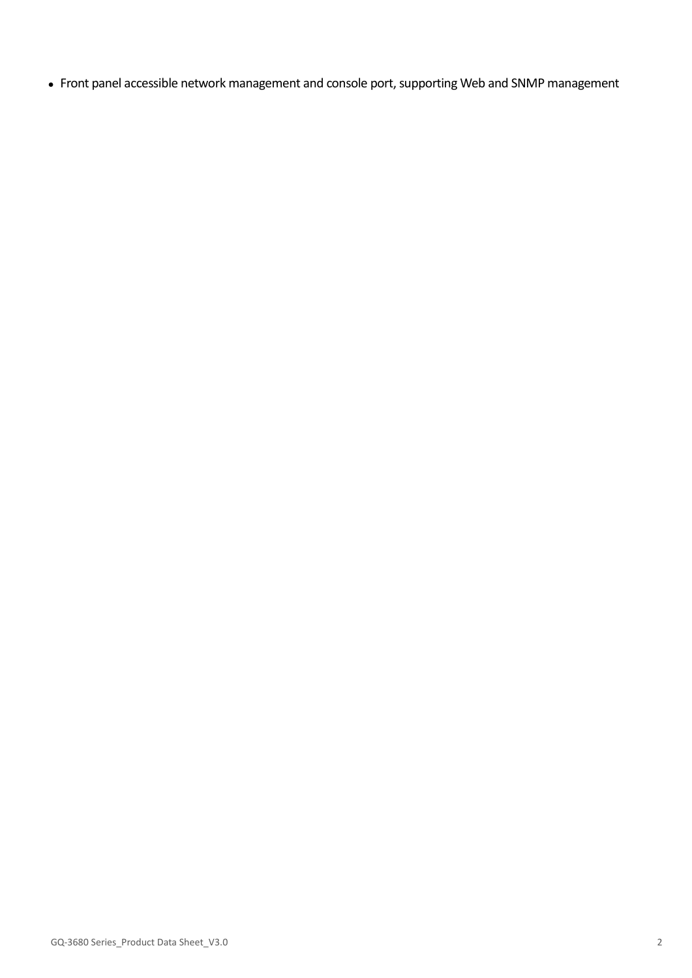Front panel accessible network management and console port, supporting Web and SNMP management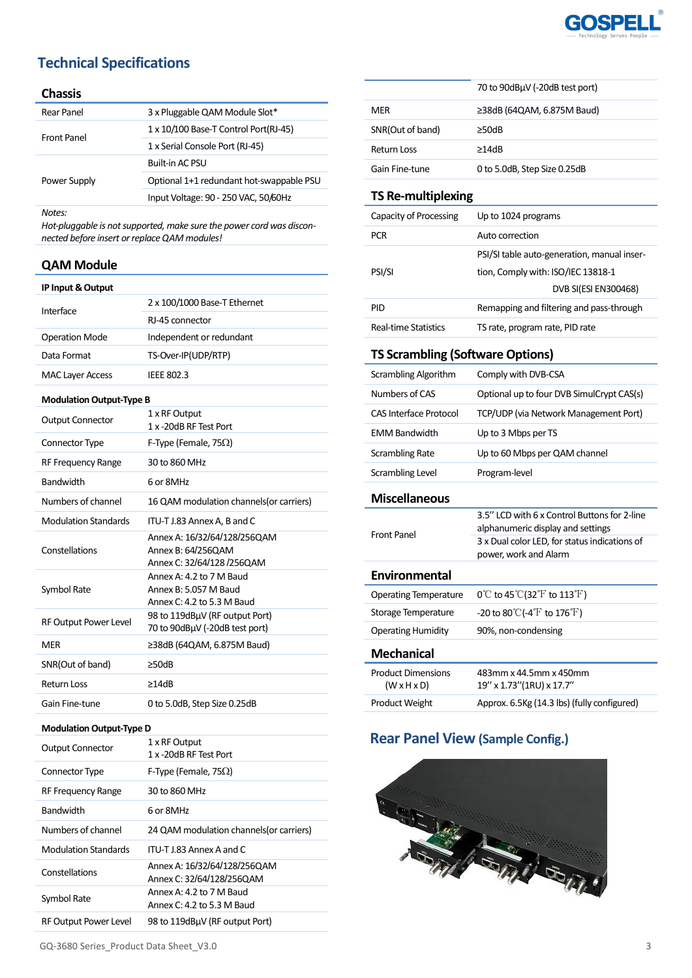

# **Technical Specifications**

#### **Chassis**

| Rear Panel   | 3 x Pluggable QAM Module Slot*           |
|--------------|------------------------------------------|
| Front Panel  | 1 x 10/100 Base-T Control Port(RJ-45)    |
|              | 1 x Serial Console Port (RJ-45)          |
| Power Supply | Built-in AC PSU                          |
|              | Optional 1+1 redundant hot-swappable PSU |
|              | Input Voltage: 90 - 250 VAC, 50/60Hz     |
| $N$ $A$      |                                          |

*Notes:*

*Hot-pluggable is not supported, make sure the power cord was disconnected before insert or replace QAM modules!*

### **QAM Module**

| IP Input & Output               |                                          |
|---------------------------------|------------------------------------------|
| Interface                       | 2 x 100/1000 Base-T Ethernet             |
|                                 | RI-45 connector                          |
| <b>Operation Mode</b>           | Independent or redundant                 |
| Data Format                     | TS-Over-IP(UDP/RTP)                      |
| <b>MAC Layer Access</b>         | <b>IEEE 802.3</b>                        |
| <b>Modulation Output-Type B</b> |                                          |
| <b>Output Connector</b>         | 1 x RF Output                            |
|                                 | 1 x -20dB RF Test Port                   |
| Connector Type                  | F-Type (Female, 75 $\Omega$ )            |
| RF Frequency Range              | 30 to 860 MHz                            |
| <b>Bandwidth</b>                | 6 or 8MHz                                |
| Numbers of channel              | 16 QAM modulation channels (or carriers) |
| <b>Modulation Standards</b>     | ITU-T J.83 Annex A, B and C              |
|                                 |                                          |

| Numbers of channel          | 16 QAM modulation channels (or carriers)                                          |
|-----------------------------|-----------------------------------------------------------------------------------|
| <b>Modulation Standards</b> | ITU-T J.83 Annex A, B and C                                                       |
| Constellations              | Annex A: 16/32/64/128/256QAM<br>Annex B: 64/256QAM<br>Annex C: 32/64/128 /256QAM  |
| Symbol Rate                 | Annex A: 4.2 to 7 M Baud<br>Annex B: 5.057 M Baud<br>Annex $C: 4.2$ to 5.3 M Baud |
| RF Output Power Level       | 98 to 119dBuV (RF output Port)<br>70 to 90dBµV (-20dB test port)                  |
| <b>MER</b>                  | $\geq$ 38dB (64QAM, 6.875M Baud)                                                  |
| SNR(Out of band)            | $\geq$ 50dB                                                                       |
| <b>Return Loss</b>          | ≥14dB                                                                             |

### **Modulation Output-Type D**

Gain Fine-tune 0 to 5.0dB, Step Size 0.25dB

 $S<sub>l</sub>$ 

| <b>Output Connector</b>     | 1 x RF Output<br>1 x -20dB RF Test Port                   |
|-----------------------------|-----------------------------------------------------------|
| Connector Type              | F-Type (Female, 75 $\Omega$ )                             |
| RF Frequency Range          | 30 to 860 MHz                                             |
| <b>Bandwidth</b>            | 6 or 8MHz                                                 |
| Numbers of channel          | 24 QAM modulation channels (or carriers)                  |
| <b>Modulation Standards</b> | ITU-T L83 Annex A and C                                   |
| Constellations              | Annex A: 16/32/64/128/256QAM<br>Annex C: 32/64/128/2560AM |
| Symbol Rate                 | Annex A: 4.2 to 7 M Baud<br>Annex C: 4.2 to 5.3 M Baud    |
| RF Output Power Level       | 98 to 119dBuV (RF output Port)                            |

|                    | 70 to 90dBµV (-20dB test port)   |
|--------------------|----------------------------------|
| MFR                | $\geq$ 38dB (64QAM, 6.875M Baud) |
| SNR(Out of band)   | >50dB                            |
| <b>Return Loss</b> | $\geq$ 14dB                      |
| Gain Fine-tune     | 0 to 5.0dB, Step Size 0.25dB     |

### **TS Re-multiplexing**

| Capacity of Processing | Up to 1024 programs                         |
|------------------------|---------------------------------------------|
| <b>PCR</b>             | Auto correction                             |
|                        | PSI/SI table auto-generation, manual inser- |
| PSI/SI                 | tion, Comply with: ISO/IEC 13818-1          |
|                        | DVB SI(ESI EN300468)                        |
| PID                    | Remapping and filtering and pass-through    |
| Real-time Statistics   | TS rate, program rate, PID rate             |

### **TS Scrambling (Software Options)**

| Scrambling Algorithm                                 | Comply with DVB-CSA                                                                                                                |
|------------------------------------------------------|------------------------------------------------------------------------------------------------------------------------------------|
| Numbers of CAS                                       | Optional up to four DVB SimulCrypt CAS(s)                                                                                          |
| <b>CAS Interface Protocol</b>                        | TCP/UDP (via Network Management Port)                                                                                              |
| <b>EMM Bandwidth</b>                                 | Up to 3 Mbps per TS                                                                                                                |
| <b>Scrambling Rate</b>                               | Up to 60 Mbps per QAM channel                                                                                                      |
| Scrambling Level                                     | Program-level                                                                                                                      |
| <b>Miscellaneous</b>                                 |                                                                                                                                    |
| <b>Front Panel</b>                                   | 3.5" LCD with 6 x Control Buttons for 2-line<br>alphanumeric display and settings<br>3 x Dual color LED, for status indications of |
|                                                      | power, work and Alarm                                                                                                              |
| Environmental                                        |                                                                                                                                    |
| <b>Operating Temperature</b>                         | 0°C to 45°C(32°F to 113°F)                                                                                                         |
| Storage Temperature                                  | -20 to 80 $\mathrm{C}$ (-4 $\mathrm{F}$ to 176 $\mathrm{F}$ )                                                                      |
| <b>Operating Humidity</b>                            | 90%, non-condensing                                                                                                                |
| <b>Mechanical</b>                                    |                                                                                                                                    |
| <b>Product Dimensions</b><br>$(W \times H \times D)$ | 483mm x 44.5mm x 450mm<br>19" x 1.73" (1RU) x 17.7"                                                                                |

# **Rear Panel View (Sample Config.)**